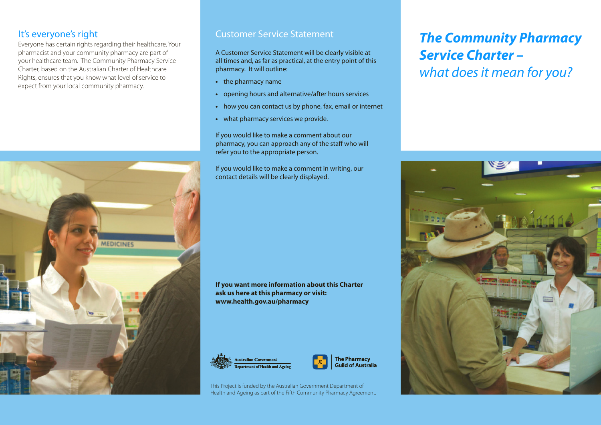#### It's everyone's right

Everyone has certain rights regarding their healthcare. Your pharmacist and your community pharmacy are part of your healthcare team. The Community Pharmacy Service Charter, based on the Australian Charter of Healthcare Rights, ensures that you know what level of service to expect from your local community pharmacy.



#### Customer Service Statement

A Customer Service Statement will be clearly visible at all times and, as far as practical, at the entry point of this pharmacy. It will outline:

- **•** the pharmacy name
- **•** opening hours and alternative/after hours services
- **•** how you can contact us by phone, fax, email or internet
- **•** what pharmacy services we provide.

If you would like to make a comment about our pharmacy, you can approach any of the staff who will refer you to the appropriate person.

If you would like to make a comment in writing, our contact details will be clearly displayed.

**If you want more information about this Charter ask us here at this pharmacy or visit: www.health.gov.au/pharmacy**





This Project is funded by the Australian Government Department of Health and Ageing as part of the Fifth Community Pharmacy Agreement.

# *The Community Pharmacy Service Charter – what doesit mean for you?*